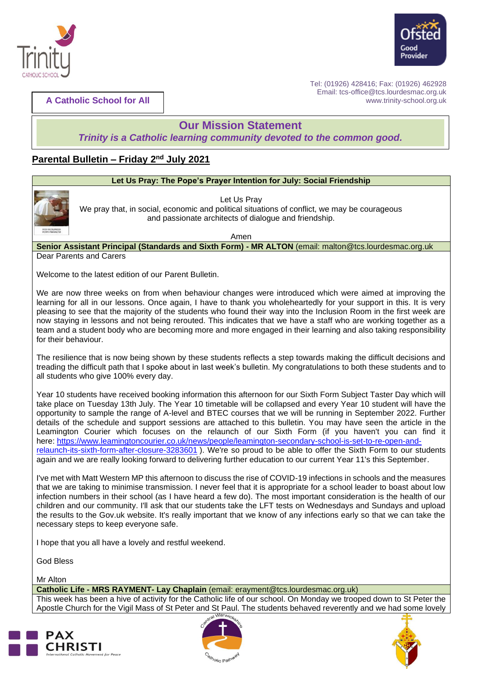



**A Catholic School for All**

Tel: (01926) 428416; Fax: (01926) 462928 Email: tcs-office@tcs.lourdesmac.org.uk www.trinity-school.org.uk

# **Our Mission Statement**

*Trinity is a Catholic learning community devoted to the common good.*

# **Parental Bulletin - Friday 2<sup>nd</sup> July 2021**







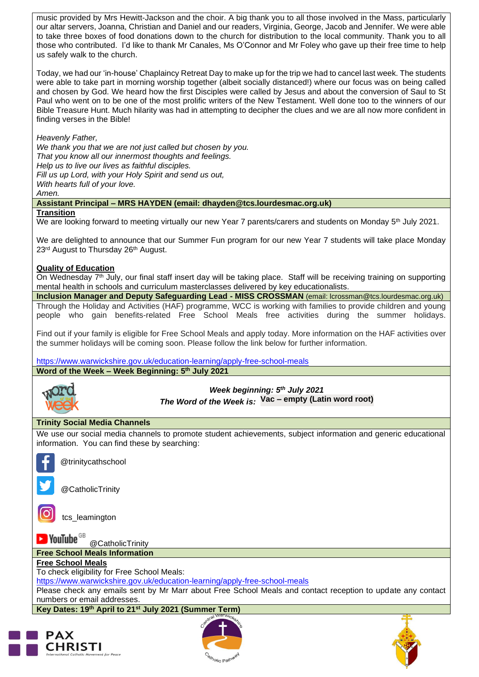music provided by Mrs Hewitt-Jackson and the choir. A big thank you to all those involved in the Mass, particularly our altar servers, Joanna, Christian and Daniel and our readers, Virginia, George, Jacob and Jennifer. We were able to take three boxes of food donations down to the church for distribution to the local community. Thank you to all those who contributed. I'd like to thank Mr Canales, Ms O'Connor and Mr Foley who gave up their free time to help us safely walk to the church.

Today, we had our 'in-house' Chaplaincy Retreat Day to make up for the trip we had to cancel last week. The students were able to take part in morning worship together (albeit socially distanced!) where our focus was on being called and chosen by God. We heard how the first Disciples were called by Jesus and about the conversion of Saul to St Paul who went on to be one of the most prolific writers of the New Testament. Well done too to the winners of our Bible Treasure Hunt. Much hilarity was had in attempting to decipher the clues and we are all now more confident in finding verses in the Bible!

*Heavenly Father,*

*We thank you that we are not just called but chosen by you. That you know all our innermost thoughts and feelings. Help us to live our lives as faithful disciples. Fill us up Lord, with your Holy Spirit and send us out, With hearts full of your love.*

*Amen.*

# **Assistant Principal – MRS HAYDEN (email: dhayden@tcs.lourdesmac.org.uk)**

### **Transition**

We are looking forward to meeting virtually our new Year 7 parents/carers and students on Monday 5<sup>th</sup> July 2021.

We are delighted to announce that our Summer Fun program for our new Year 7 students will take place Monday 23<sup>rd</sup> August to Thursday 26<sup>th</sup> August.

### **Quality of Education**

On Wednesday  $7<sup>th</sup>$  July, our final staff insert day will be taking place. Staff will be receiving training on supporting mental health in schools and curriculum masterclasses delivered by key educationalists.

**Inclusion Manager and Deputy Safeguarding Lead - MISS CROSSMAN** (email: lcrossman@tcs.lourdesmac.org.uk) Through the Holiday and Activities (HAF) programme, WCC is working with families to provide children and young people who gain benefits-related Free School Meals free activities during the summer holidays.

Find out if your family is eligible for Free School Meals and apply today. More information on the HAF activities over the summer holidays will be coming soon. Please follow the link below for further information.

<https://www.warwickshire.gov.uk/education-learning/apply-free-school-meals> **Word of the Week – Week Beginning: 5 th July 2021**



*Week beginning: 5 th July 2021 The Word of the Week is:* **Vac – empty (Latin word root)**

# **Trinity Social Media Channels**

We use our social media channels to promote student achievements, subject information and generic educational information. You can find these by searching:



@trinitycathschool



@CatholicTrinity

tcs\_leamington

 $\blacktriangleright$  YouTube  $^\texttt{GB}$ 

@CatholicTrinity **Free School Meals Information** 

**Free School Meals**

To check eligibility for Free School Meals:

<https://www.warwickshire.gov.uk/education-learning/apply-free-school-meals>

Please check any emails sent by Mr Marr about Free School Meals and contact reception to update any contact numbers or email addresses.

**Key Dates: 19th April to 21st July 2021 (Summer Term)**





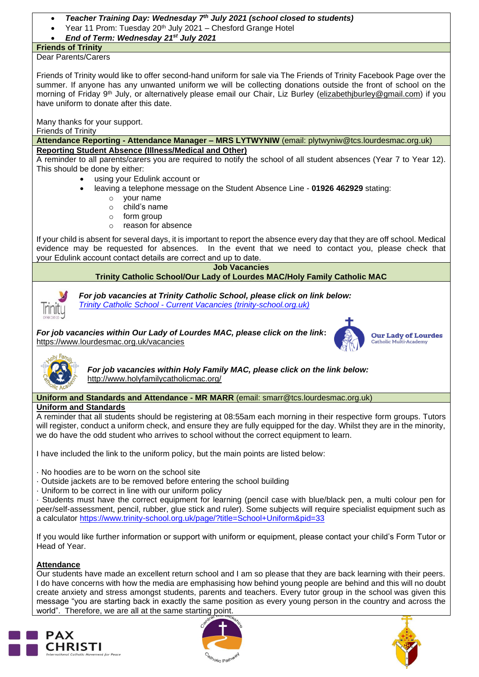- *Teacher Training Day: Wednesday 7th July 2021 (school closed to students)*
- Year 11 Prom: Tuesday 20<sup>th</sup> July 2021 Chesford Grange Hotel
- *End of Term: Wednesday 21st July 2021*

# **Friends of Trinity**

Dear Parents/Carers

Friends of Trinity would like to offer second-hand uniform for sale via The Friends of Trinity Facebook Page over the summer. If anyone has any unwanted uniform we will be collecting donations outside the front of school on the morning of Friday 9<sup>th</sup> July, or alternatively please email our Chair, Liz Burley [\(elizabethjburley@gmail.com\)](mailto:elizabethjburley@gmail.com) if you have uniform to donate after this date.

Many thanks for your support.

Friends of Trinity

#### **Attendance Reporting - Attendance Manager – MRS LYTWYNIW** (email: plytwyniw@tcs.lourdesmac.org.uk) **Reporting Student Absence (Illness/Medical and Other)**

A reminder to all parents/carers you are required to notify the school of all student absences (Year 7 to Year 12). This should be done by either:

- using your Edulink account or
- leaving a telephone message on the Student Absence Line **01926 462929** stating:
	- o your name
	- o child's name
	- $\circ$  form group
	- o reason for absence

If your child is absent for several days, it is important to report the absence every day that they are off school. Medical evidence may be requested for absences. In the event that we need to contact you, please check that your Edulink account contact details are correct and up to date. 

**Job Vacancies** 

# **Trinity Catholic School/Our Lady of Lourdes MAC/Holy Family Catholic MAC**



*For job vacancies at Trinity Catholic School, please click on link below: Trinity Catholic School - [Current Vacancies \(trinity-school.org.uk\)](https://www.trinity-school.org.uk/page/?title=Current+Vacancies&pid=128)*

*For job vacancies within Our Lady of Lourdes MAC, please click on the link***:** [https://www.lourdesmac.org.uk/vacancies](https://www.lourdesmac.org.uk/vacancies/)



**Our Lady of Lourdes** Catholic Mult



*For job vacancies within Holy Family MAC, please click on the link below:* <http://www.holyfamilycatholicmac.org/>

**Uniform and Standards and Attendance - MR MARR** (email: smarr@tcs.lourdesmac.org.uk)

# **Uniform and Standards**

A reminder that all students should be registering at 08:55am each morning in their respective form groups. Tutors will register, conduct a uniform check, and ensure they are fully equipped for the day. Whilst they are in the minority, we do have the odd student who arrives to school without the correct equipment to learn.

I have included the link to the uniform policy, but the main points are listed below:

- · No hoodies are to be worn on the school site
- · Outside jackets are to be removed before entering the school building
- · Uniform to be correct in line with our uniform policy

· Students must have the correct equipment for learning (pencil case with blue/black pen, a multi colour pen for peer/self-assessment, pencil, rubber, glue stick and ruler). Some subjects will require specialist equipment such as a calculator<https://www.trinity-school.org.uk/page/?title=School+Uniform&pid=33>

If you would like further information or support with uniform or equipment, please contact your child's Form Tutor or Head of Year.

# **Attendance**

Our students have made an excellent return school and I am so please that they are back learning with their peers. I do have concerns with how the media are emphasising how behind young people are behind and this will no doubt create anxiety and stress amongst students, parents and teachers. Every tutor group in the school was given this message "you are starting back in exactly the same position as every young person in the country and across the world". Therefore, we are all at the same starting point.





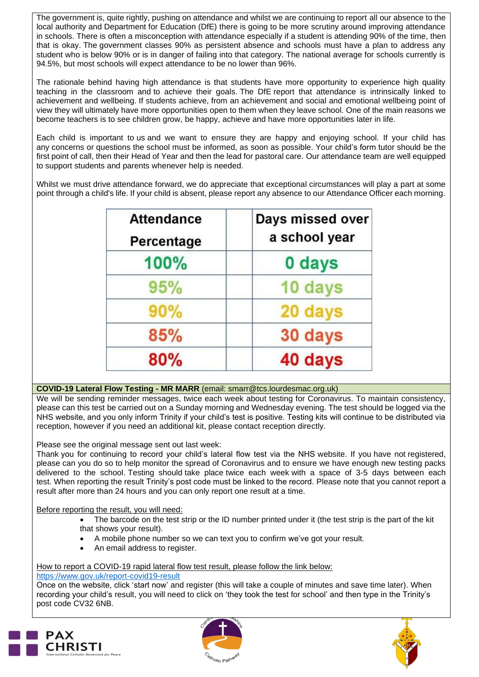The government is, quite rightly, pushing on attendance and whilst we are continuing to report all our absence to the local authority and Department for Education (DfE) there is going to be more scrutiny around improving attendance in schools. There is often a misconception with attendance especially if a student is attending 90% of the time, then that is okay. The government classes 90% as persistent absence and schools must have a plan to address any student who is below 90% or is in danger of failing into that category. The national average for schools currently is 94.5%, but most schools will expect attendance to be no lower than 96%.

The rationale behind having high attendance is that students have more opportunity to experience high quality teaching in the classroom and to achieve their goals. The DfE report that attendance is intrinsically linked to achievement and wellbeing. If students achieve, from an achievement and social and emotional wellbeing point of view they will ultimately have more opportunities open to them when they leave school. One of the main reasons we become teachers is to see children grow, be happy, achieve and have more opportunities later in life.

Each child is important to us and we want to ensure they are happy and enjoying school. If your child has any concerns or questions the school must be informed, as soon as possible. Your child's form tutor should be the first point of call, then their Head of Year and then the lead for pastoral care. Our attendance team are well equipped to support students and parents whenever help is needed.

Whilst we must drive attendance forward, we do appreciate that exceptional circumstances will play a part at some point through a child's life. If your child is absent, please report any absence to our Attendance Officer each morning.

| <b>Attendance</b><br>Percentage | Days missed over<br>a school year |
|---------------------------------|-----------------------------------|
| 100%                            | 0 days                            |
| 95%                             | 10 days                           |
| 90%                             | 20 days                           |
| 85%                             | 30 days                           |
| 80%                             | 40 days                           |

# **COVID-19 Lateral Flow Testing - MR MARR** (email: [smarr@tcs.lourdesmac.org.uk\)](mailto:smarr@tcs.lourdesmac.org.uk)

We will be sending reminder messages, twice each week about testing for Coronavirus. To maintain consistency, please can this test be carried out on a Sunday morning and Wednesday evening. The test should be logged via the NHS website, and you only inform Trinity if your child's test is positive. Testing kits will continue to be distributed via reception, however if you need an additional kit, please contact reception directly.

Please see the original message sent out last week:

Thank you for continuing to record your child's lateral flow test via the NHS website. If you have not registered, please can you do so to help monitor the spread of Coronavirus and to ensure we have enough new testing packs delivered to the school. Testing should take place twice each week with a space of 3-5 days between each test. When reporting the result Trinity's post code must be linked to the record. Please note that you cannot report a result after more than 24 hours and you can only report one result at a time.

Before reporting the result, you will need:

• The barcode on the test strip or the ID number printed under it (the test strip is the part of the kit that shows your result).

- A mobile phone number so we can text you to confirm we've got your result.
- An email address to register.

# How to report a COVID-19 rapid lateral flow test result, please follow the link below:

### <https://www.gov.uk/report-covid19-result>

Once on the website, click 'start now' and register (this will take a couple of minutes and save time later). When recording your child's result, you will need to click on 'they took the test for school' and then type in the Trinity's post code CV32 6NB.





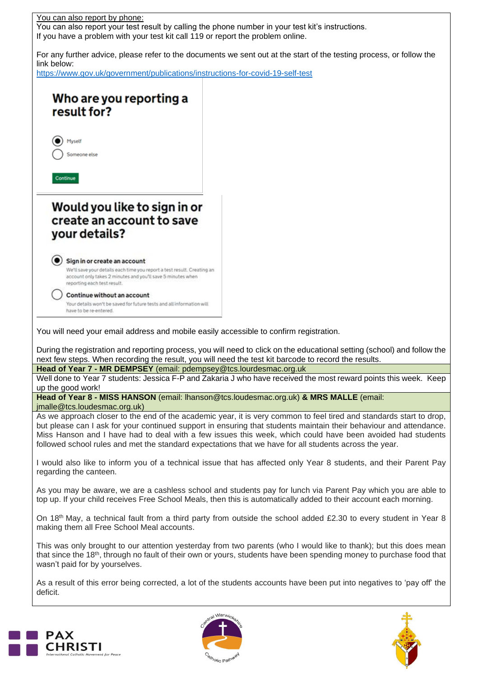





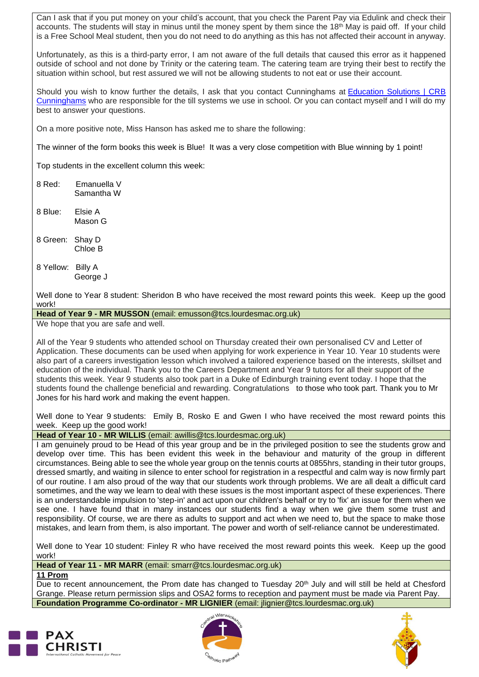Can I ask that if you put money on your child's account, that you check the Parent Pay via Edulink and check their accounts. The students will stay in minus until the money spent by them since the 18<sup>th</sup> May is paid off. If your child is a Free School Meal student, then you do not need to do anything as this has not affected their account in anyway.

Unfortunately, as this is a third-party error, I am not aware of the full details that caused this error as it happened outside of school and not done by Trinity or the catering team. The catering team are trying their best to rectify the situation within school, but rest assured we will not be allowing students to not eat or use their account.

Should you wish to know further the details, I ask that you contact Cunninghams at [Education](https://www.crbcunninghams.co.uk/) Solutions | CRB [Cunninghams](https://www.crbcunninghams.co.uk/) who are responsible for the till systems we use in school. Or you can contact myself and I will do my best to answer your questions.

On a more positive note, Miss Hanson has asked me to share the following:

The winner of the form books this week is Blue! It was a very close competition with Blue winning by 1 point!

Top students in the excellent column this week:

8 Red: Emanuella V Samantha W

- 8 Blue: Elsie A Mason G
- 8 Green: Shay D Chloe B
- 8 Yellow: Billy A George J

Well done to Year 8 student: Sheridon B who have received the most reward points this week. Keep up the good work!

**Head of Year 9 - MR MUSSON** (email: [emusson@tcs.lourdesmac.org.uk\)](mailto:emusson@tcs.lourdesmac.org.uk)

We hope that you are safe and well.

All of the Year 9 students who attended school on Thursday created their own personalised CV and Letter of Application. These documents can be used when applying for work experience in Year 10. Year 10 students were also part of a careers investigation lesson which involved a tailored experience based on the interests, skillset and education of the individual. Thank you to the Careers Department and Year 9 tutors for all their support of the students this week. Year 9 students also took part in a Duke of Edinburgh training event today. I hope that the students found the challenge beneficial and rewarding. Congratulations to those who took part. Thank you to Mr Jones for his hard work and making the event happen.

Well done to Year 9 students: Emily B, Rosko E and Gwen I who have received the most reward points this week. Keep up the good work!

**Head of Year 10 - MR WILLIS** (email: [awillis@tcs.lourdesmac.org.uk\)](mailto:awillis@tcs.lourdesmac.org.uk)

I am genuinely proud to be Head of this year group and be in the privileged position to see the students grow and develop over time. This has been evident this week in the behaviour and maturity of the group in different circumstances. Being able to see the whole year group on the tennis courts at 0855hrs, standing in their tutor groups, dressed smartly, and waiting in silence to enter school for registration in a respectful and calm way is now firmly part of our routine. I am also proud of the way that our students work through problems. We are all dealt a difficult card sometimes, and the way we learn to deal with these issues is the most important aspect of these experiences. There is an understandable impulsion to 'step-in' and act upon our children's behalf or try to 'fix' an issue for them when we see one. I have found that in many instances our students find a way when we give them some trust and responsibility. Of course, we are there as adults to support and act when we need to, but the space to make those mistakes, and learn from them, is also important. The power and worth of self-reliance cannot be underestimated.

Well done to Year 10 student: Finley R who have received the most reward points this week. Keep up the good work!

**Head of Year 11 - MR MARR** (email: [smarr@tcs.lourdesmac.org.uk\)](mailto:smarr@tcs.lourdesmac.org.uk)

**11 Prom**

Due to recent announcement, the Prom date has changed to Tuesday 20<sup>th</sup> July and will still be held at Chesford Grange. Please return permission slips and OSA2 forms to reception and payment must be made via Parent Pay. **Foundation Programme Co-ordinator - MR LIGNIER** (email: [jlignier@tcs.lourdesmac.org.uk\)](mailto:jlignier@lourdesmac.org.uk)